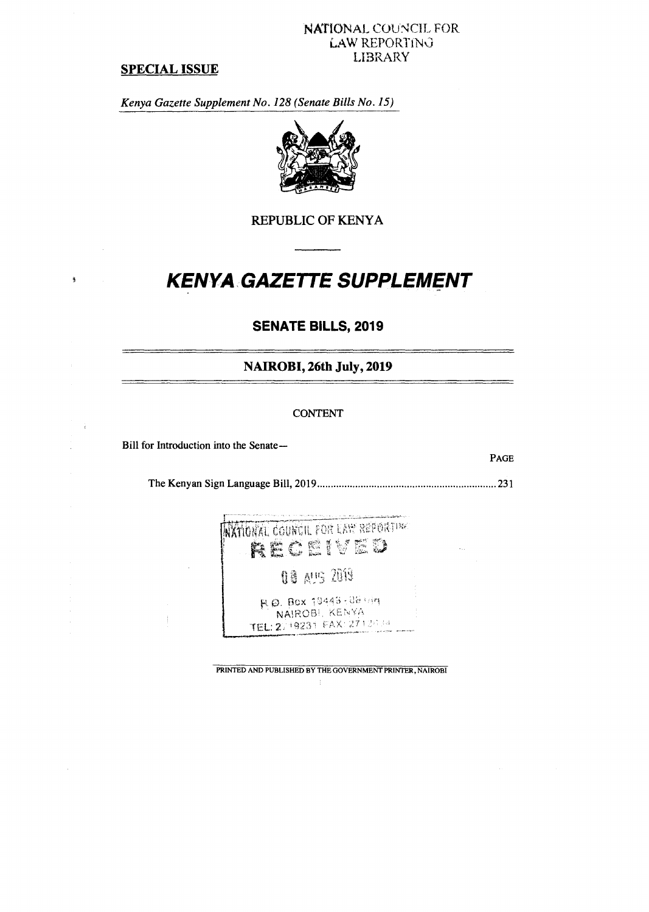#### **NATIONAL COUNCIL FOR LAW REPORTIN6 LIBRARY**

## **SPECIAL ISSUE**

 $\frac{\alpha}{\beta}$ 

 $\bar{z}$ 

*Kenya Gazette Supplement No. 128 (Senate Bills No. 15)* 



**REPUBLIC OF KENYA** 

# **KENYA GAZETTE SUPPLEMENT**

# **SENATE BILLS, 2019**

**NAIROBI, 26th July, 2019** 

#### **CONTENT**

**Bill for Introduction into the Senate—** 

**PAGE** 

**The Kenyan Sign Language Bill, 2019 231** 

NATIONAL COUNCIL FOR LAW REPORTING RECEIVED

**08 AUS 2019** 

H. Q. Box 19443-06 hin NAIROBI, KENYA TEL: 2719231 FAX: 27124

**PRINTED AND PUBLISHED BY THE GOVERNMENT PRINTER, NAIROBI** 

-1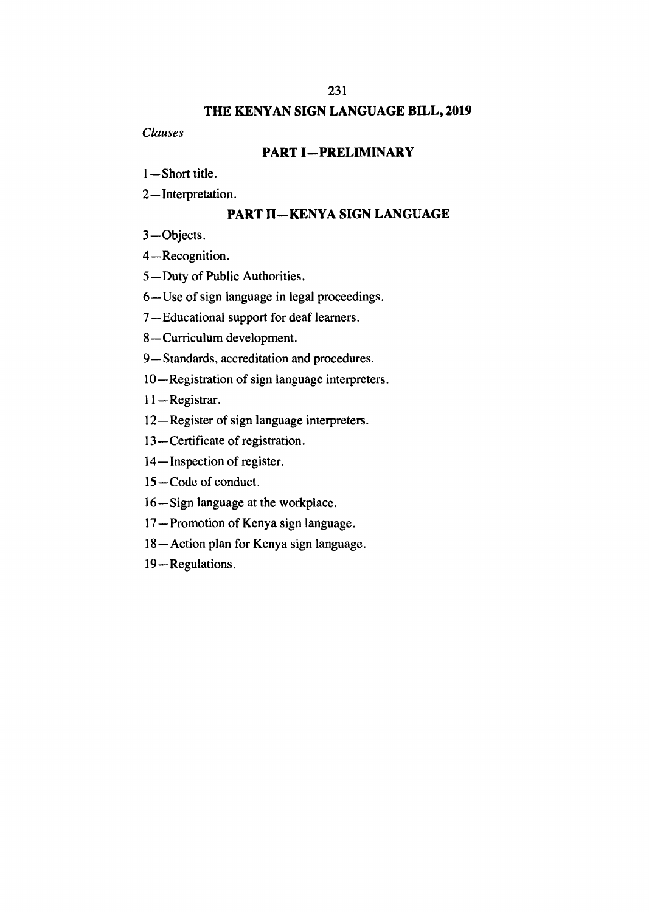# **THE KENYAN SIGN LANGUAGE BILL, 2019**

*Clauses* 

## **PART I—PRELIMINARY**

- 1—Short title.
- 2—Interpretation.

# **PART II—KENYA SIGN LANGUAGE**

3—Objects.

4—Recognition.

5—Duty of Public Authorities.

6—Use of sign language in legal proceedings.

7—Educational support for deaf learners.

8—Curriculum development.

9—Standards, accreditation and procedures.

10—Registration of sign language interpreters.

11—Registrar.

12—Register of sign language interpreters.

13—Certificate of registration.

14—Inspection of register.

15—Code of conduct.

16—Sign language at the workplace.

17—Promotion of Kenya sign language.

18—Action plan for Kenya sign language.

19—Regulations.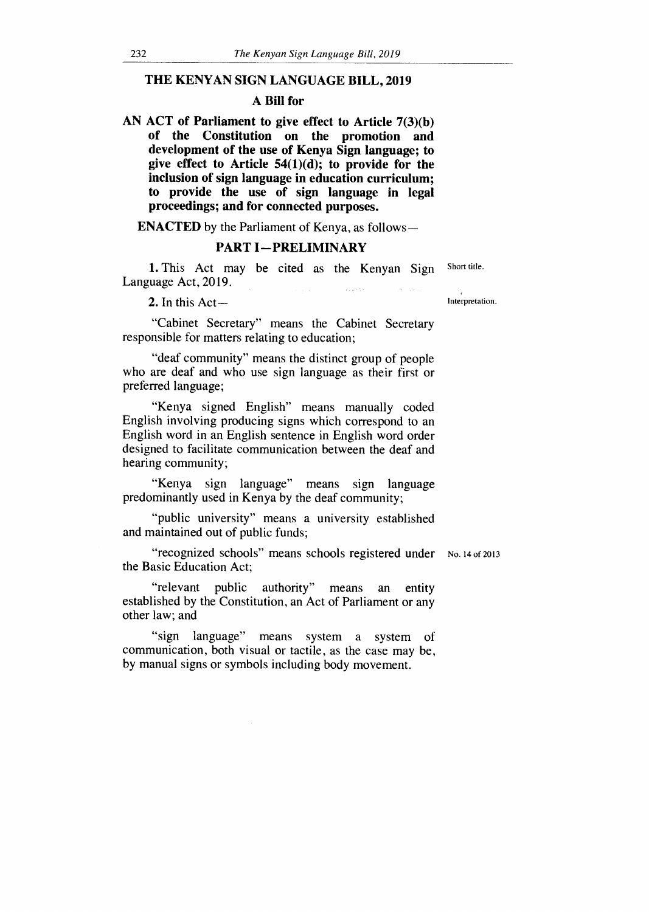### **THE KENYAN SIGN LANGUAGE BILL, 2019**

## **A Bill for**

**AN ACT of Parliament to give effect to Article 7(3)(b) of the Constitution on the promotion and development of the use of Kenya Sign language; to give effect to Article 54(1)(d); to provide for the inclusion of sign language in education curriculum; to provide the use of sign language in legal proceedings; and for connected purposes.** 

**ENACTED** by the Parliament of Kenya, as follows**—**

#### **PART I — PRELIMINARY**

1. This Act may be cited as the Kenyan Sign Short title. Language Act, 2019.  $\frac{1}{2}$  ,  $\frac{1}{2}$  ,  $\frac{1}{2}$  ,  $\frac{1}{2}$  $\langle \sqrt{\rho} \rangle_{\rm F}$  ,  $\langle \sqrt{\rho} \rangle$ 

2. In this Act — Interpretation.

"Cabinet Secretary" means the Cabinet Secretary responsible for matters relating to education;

"deaf community" means the distinct group of people who are deaf and who use sign language as their first or preferred language;

"Kenya signed English" means manually coded English involving producing signs which correspond to an English word in an English sentence in English word order designed to facilitate communication between the deaf and hearing community;

"Kenya sign language" means sign language predominantly used in Kenya by the deaf community;

"public university" means a university established and maintained out of public funds;

"recognized schools" means schools registered under No. 14 of 2013 the Basic Education Act;

"relevant public authority" means an entity established by the Constitution, an Act of Parliament or any other law; and

"sign language" means system a system of communication, both visual or tactile, as the case may be, by manual signs or symbols including body movement.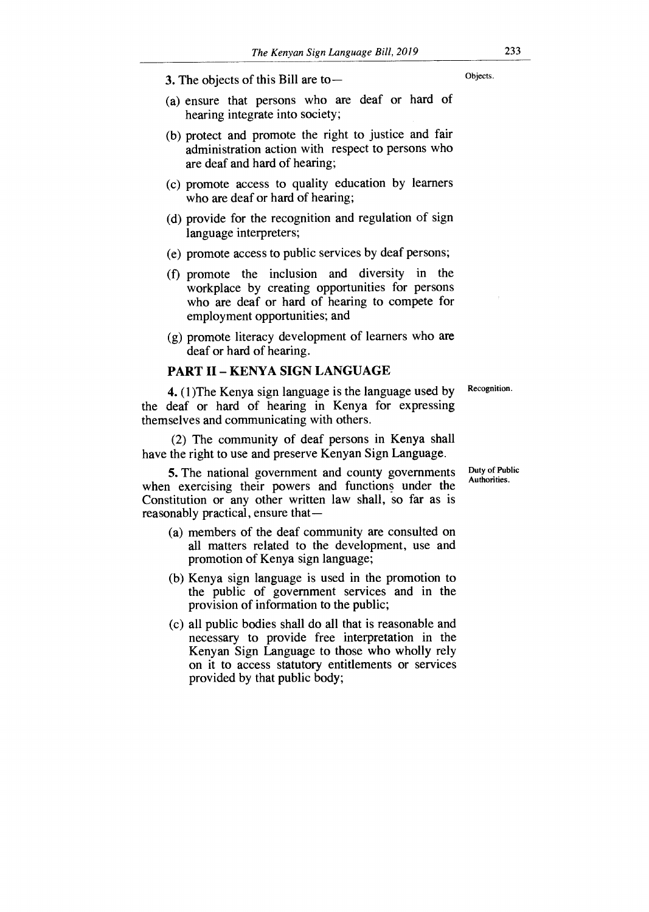3. The objects of this Bill are to  $-$ 

- (a) ensure that persons who are deaf or hard of hearing integrate into society;
- (b) protect and promote the right to justice and fair administration action with respect to persons who are deaf and hard of hearing;
- (c) promote access to quality education by learners who are deaf or hard of hearing;
- (d) provide for the recognition and regulation of sign language interpreters;
- (e) promote access to public services by deaf persons;
- (f) promote the inclusion and diversity in the workplace by creating opportunities for persons who are deaf or hard of hearing to compete for employment opportunities; and
- (g) promote literacy development of learners who are deaf or hard of hearing.

#### PART II — KENYA SIGN LANGUAGE

Recognition.

4. (1)The Kenya sign language is the language used by the deaf or hard of hearing in Kenya for expressing themselves and communicating with others.

(2) The community of deaf persons in Kenya shall have the right to use and preserve Kenyan Sign Language.

5. The national government and county governments when exercising their powers and functions under the Constitution or any other written law shall, so far as is reasonably practical, ensure that—

- (a) members of the deaf community are consulted on all matters related to the development, use and promotion of Kenya sign language;
- (b) Kenya sign language is used in the promotion to the public of government services and in the provision of information to the public;
- (c) all public bodies shall do all that is reasonable and necessary to provide free interpretation in the Kenyan Sign Language to those who wholly rely on it to access statutory entitlements or services provided by that public body;

Duty of Public Authorities.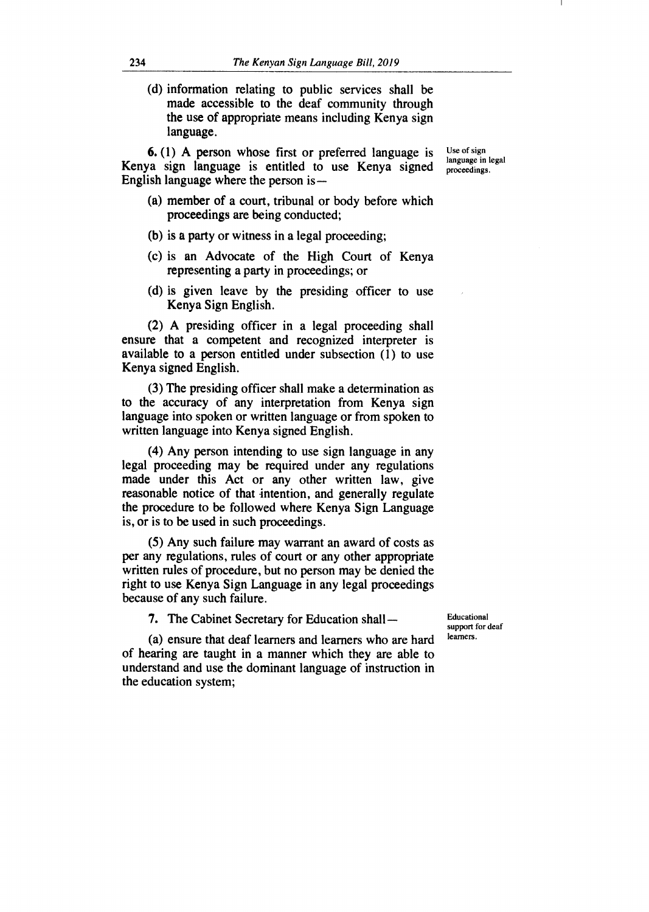(d) information relating to public services shall be made accessible to the deaf community through the use of appropriate means including Kenya sign language.

**6.** (1) A person whose first or preferred language is Kenya sign language is entitled to use Kenya signed English language where the person is —

Use of sign language in legal proceedings.

- (a) member of a court, tribunal or body before which proceedings are being conducted;
- (b) is a party or witness in a legal proceeding;
- (c) is an Advocate of the High Court of Kenya representing a party in proceedings; or
- (d) is given leave by the presiding officer to use Kenya Sign English.

(2) A presiding officer in a legal proceeding shall ensure that a competent and recognized interpreter is available to a person entitled under subsection (1) to use Kenya signed English.

(3) The presiding officer shall make a determination as to the accuracy of any interpretation from Kenya sign language into spoken or written language or from spoken to written language into Kenya signed English.

(4) Any person intending to use sign language in any legal proceeding may be required under any regulations made under this Act or any other written law, give reasonable notice of that intention, and generally regulate the procedure to be followed where Kenya Sign Language is, or is to be used in such proceedings.

(5) Any such failure may warrant an award of costs as per any regulations, rules of court or any other appropriate written rules of procedure, but no person may be denied the right to use Kenya Sign Language in any legal proceedings because of any such failure.

7. The Cabinet Secretary for Education shall —

Educational support for deaf learners.

(a) ensure that deaf learners and learners who are hard of hearing are taught in a manner which they are able to understand and use the dominant language of instruction in the education system;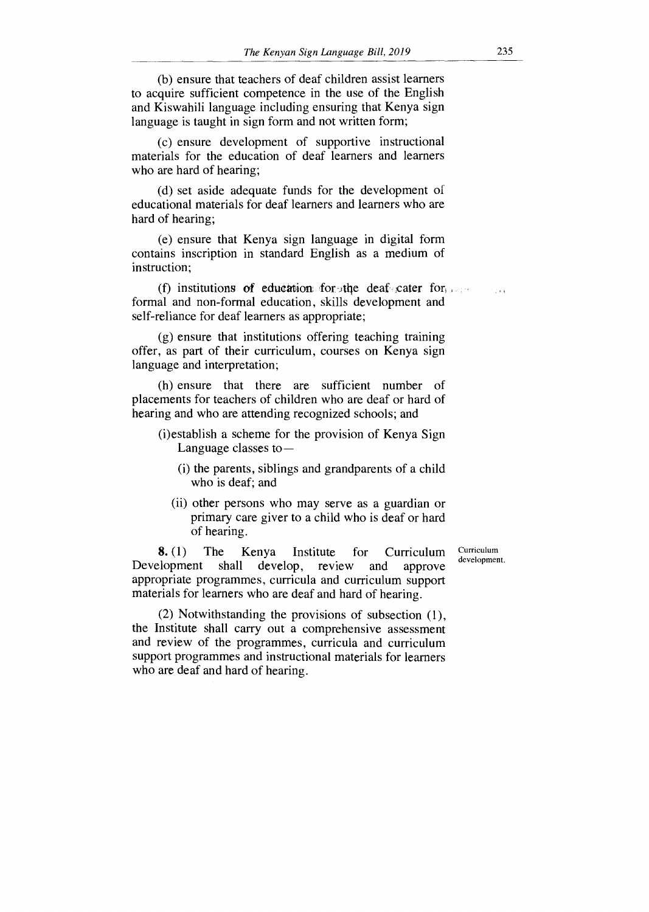(b) ensure that teachers of deaf children assist learners to acquire sufficient competence in the use of the English and Kiswahili language including ensuring that Kenya sign language is taught in sign form and not written form;

(c) ensure development of supportive instructional materials for the education of deaf learners and learners who are hard of hearing;

(d) set aside adequate funds for the development of educational materials for deaf learners and learners who are hard of hearing;

(e) ensure that Kenya sign language in digital form contains inscription in standard English as a medium of instruction;

(f) institutions of education for the deaf cater for formal and non-formal education, skills development and self-reliance for deaf learners as appropriate;

(g) ensure that institutions offering teaching training offer, as part of their curriculum, courses on Kenya sign language and interpretation;

(h) ensure that there are sufficient number of placements for teachers of children who are deaf or hard of hearing and who are attending recognized schools; and

- (i)establish a scheme for the provision of Kenya Sign Language classes to —
	- (i) the parents, siblings and grandparents of a child who is deaf; and
	- (ii) other persons who may serve as a guardian or primary care giver to a child who is deaf or hard of hearing.

8. (1) The Kenya Institute for Curriculum<br>elopment shall develop, review and approve Development shall develop, review and approve appropriate programmes, curricula and curriculum support materials for learners who are deaf and hard of hearing.

Curriculum development.

(2) Notwithstanding the provisions of subsection (1), the Institute shall carry out a comprehensive assessment and review of the programmes, curricula and curriculum support programmes and instructional materials for learners who are deaf and hard of hearing.

 $1.744$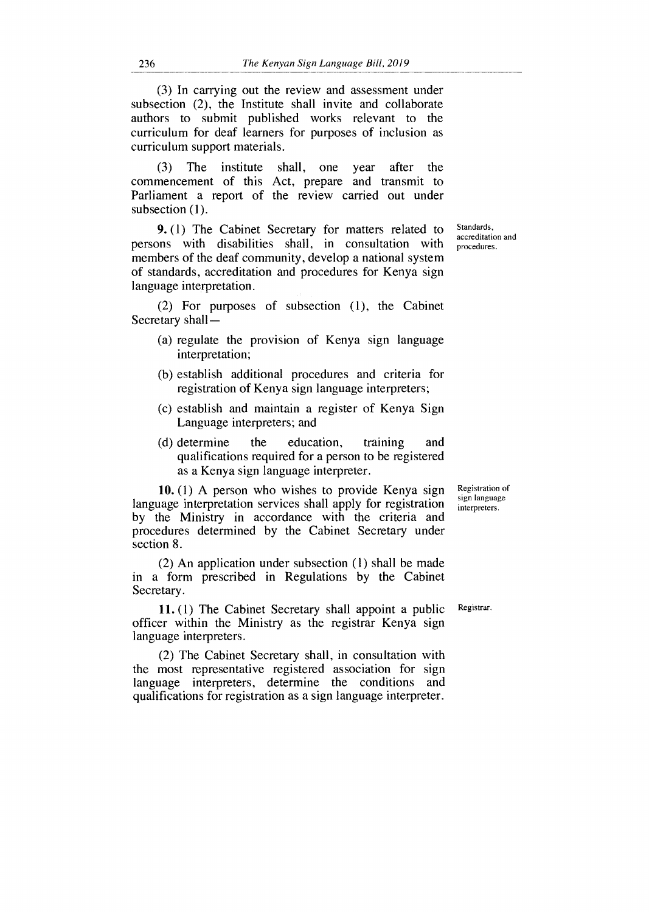(3) In carrying out the review and assessment under subsection (2), the Institute shall invite and collaborate authors to submit published works relevant to the curriculum for deaf learners for purposes of inclusion as curriculum support materials.

(3) The institute shall, one year after the commencement of this Act, prepare and transmit to Parliament a report of the review carried out under subsection (1).

**9.** (1) The Cabinet Secretary for matters related to persons with disabilities shall, in consultation with members of the deaf community, develop a national system of standards, accreditation and procedures for Kenya sign language interpretation.

(2) For purposes of subsection (1), the Cabinet Secretary shall —

- (a) regulate the provision of Kenya sign language interpretation;
- (b) establish additional procedures and criteria for registration of Kenya sign language interpreters;
- (c) establish and maintain a register of Kenya Sign Language interpreters; and
- (d) determine the education, training and qualifications required for a person to be registered as a Kenya sign language interpreter.

**10.** (1) A person who wishes to provide Kenya sign language interpretation services shall apply for registration by the Ministry in accordance with the criteria and procedures determined by the Cabinet Secretary under section 8.

(2) An application under subsection (1) shall be made in a form prescribed in Regulations by the Cabinet Secretary.

11. (1) The Cabinet Secretary shall appoint a public Registrar. officer within the Ministry as the registrar Kenya sign language interpreters.

(2) The Cabinet Secretary shall, in consultation with the most representative registered association for sign language interpreters, determine the conditions and qualifications for registration as a sign language interpreter.

Registration of

sign language interpreters.

Standards, accreditation and procedures.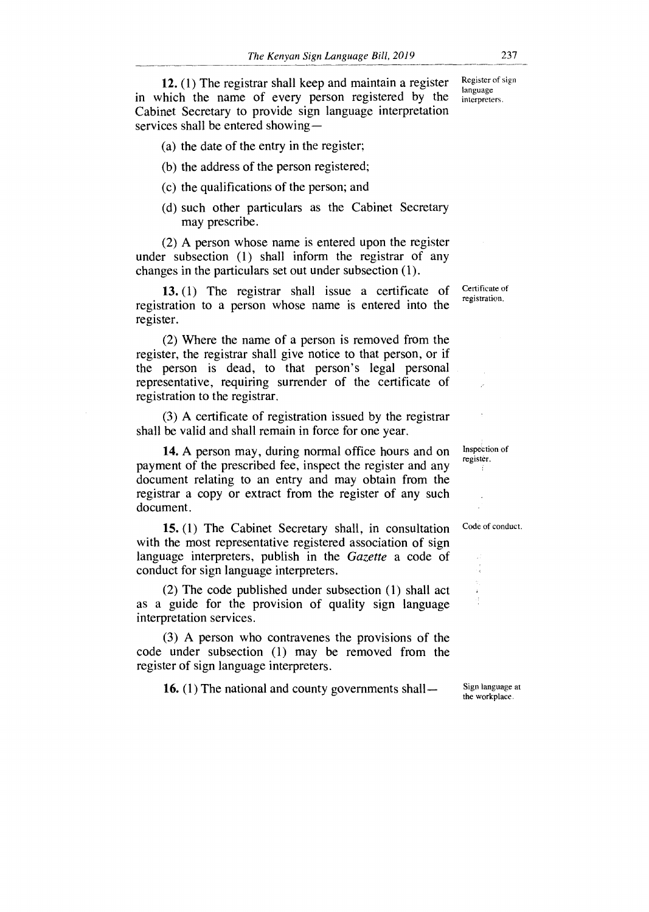12. (1) The registrar shall keep and maintain a register in which the name of every person registered by the Cabinet Secretary to provide sign language interpretation services shall be entered showing —

(a) the date of the entry in the register;

(b) the address of the person registered;

(c) the qualifications of the person; and

(d) such other particulars as the Cabinet Secretary may prescribe.

(2) A person whose name is entered upon the register under subsection (1) shall inform the registrar of any changes in the particulars set out under subsection (1).

13. (1) The registrar shall issue a certificate of registration to a person whose name is entered into the register.

(2) Where the name of a person is removed from the register, the registrar shall give notice to that person, or if the person is dead, to that person's legal personal representative, requiring surrender of the certificate of registration to the registrar.

(3) A certificate of registration issued by the registrar shall be valid and shall remain in force for one year.

14. A person may, during normal office hours and on payment of the prescribed fee, inspect the register and any document relating to an entry and may obtain from the registrar a copy or extract from the register of any such document.

15. (1) The Cabinet Secretary shall, in consultation with the most representative registered association of sign language interpreters, publish in the *Gazette* a code of conduct for sign language interpreters.

(2) The code published under subsection (1) shall act as a guide for the provision of quality sign language interpretation services.

(3) A person who contravenes the provisions of the code under subsection (1) may be removed from the register of sign language interpreters.

16. (1) The national and county governments shall—

Certificate of registration.

Code of conduct.

Inspection of register.

Sign language at the workplace.

Register of sign language interpreters.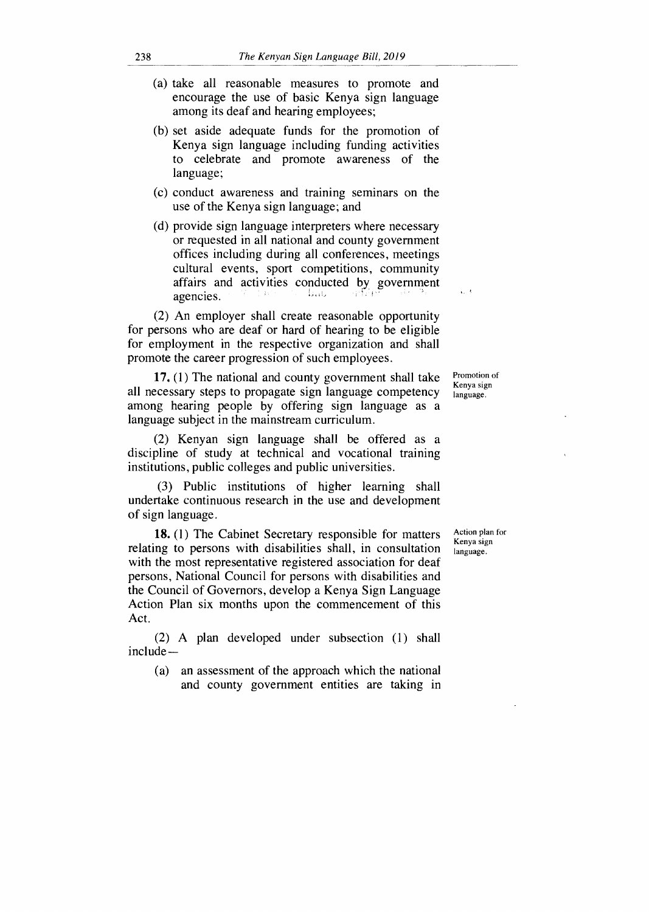- (a) take all reasonable measures to promote and encourage the use of basic Kenya sign language among its deaf and hearing employees;
- (b) set aside adequate funds for the promotion of Kenya sign language including funding activities to celebrate and promote awareness of the language;
- (c) conduct awareness and training seminars on the use of the Kenya sign language; and
- (d) provide sign language interpreters where necessary or requested in all national and county government offices including during all conferences, meetings cultural events, sport competitions, community affairs and activities conducted by government agencies. antici

(2) An employer shall create reasonable opportunity for persons who are deaf or hard of hearing to be eligible for employment in the respective organization and shall promote the career progression of such employees.

17. (1) The national and county government shall take all necessary steps to propagate sign language competency among hearing people by offering sign language as a language subject in the mainstream curriculum.

(2) Kenyan sign language shall be offered as a discipline of study at technical and vocational training institutions, public colleges and public universities.

(3) Public institutions of higher learning shall undertake continuous research in the use and development of sign language.

**18. (1)** The Cabinet Secretary responsible for matters relating to persons with disabilities shall, in consultation with the most representative registered association for deaf persons, National Council for persons with disabilities and the Council of Governors, develop a Kenya Sign Language Action Plan six months upon the commencement of this Act.

(2) A plan developed under subsection (1) shall include —

(a) an assessment of the approach which the national and county government entities are taking in

Promotion of Kenya sign language.

Action plan for Kenya sign language.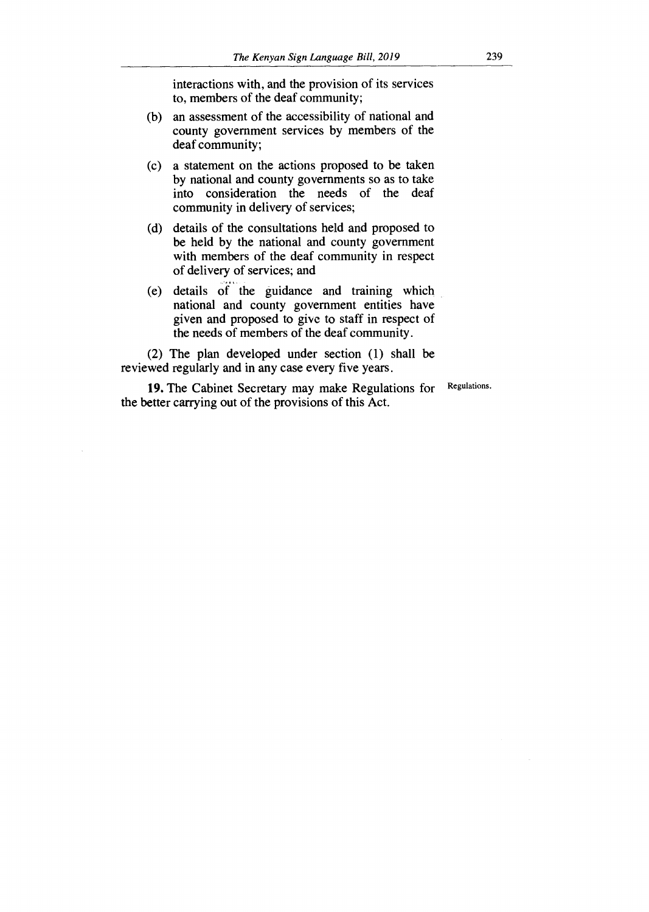interactions with, and the provision of its services to, members of the deaf community;

- (b) an assessment of the accessibility of national and county government services by members of the deaf community;
- (c) a statement on the actions proposed to be taken by national and county governments so as to take into consideration the needs of the deaf community in delivery of services;
- (d) details of the consultations held and proposed to be held by the national and county government with members of the deaf community in respect of delivery of services; and
- (e) details of the guidance and training which national and county government entities have given and proposed to give to staff in respect of the needs of members of the deaf community.

(2) The plan developed under section (1) shall be reviewed regularly and in any case every five years.

**19.** The Cabinet Secretary may make Regulations for the better carrying out of the provisions of this Act. Regulations.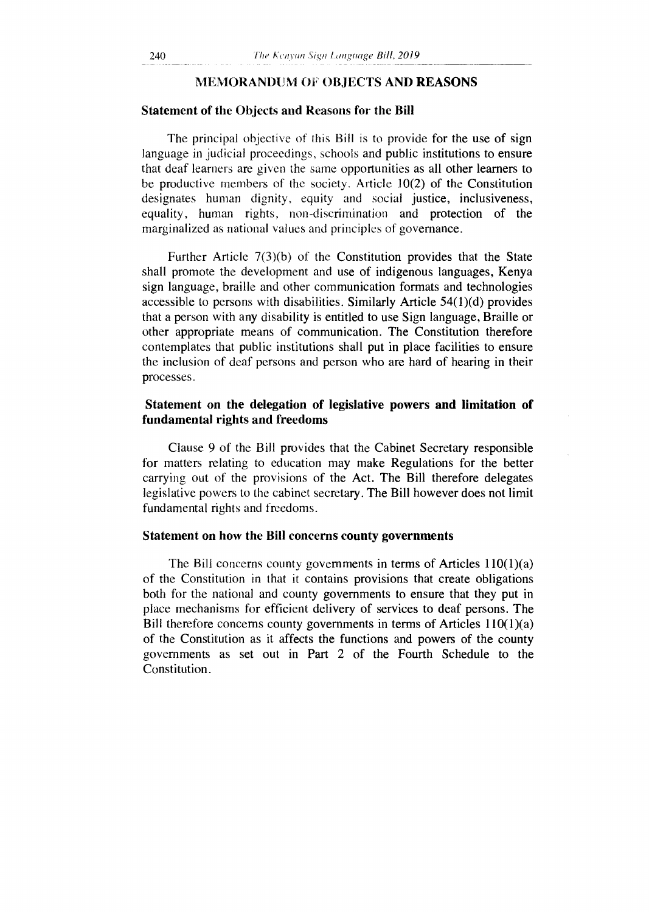#### MEMORANDUM OF OBJECTS AND **REASONS**

#### Statement of the Objects and Reasons for the **Bill**

The principal objective of this Bill is to provide for the use of sign language in judicial proceedings, schools and public institutions to ensure that deaf learners are given the same opportunities as all other learners to be productive members of the society. Article 10(2) of the Constitution designates human dignity, equity and social justice, inclusiveness, equality, human rights, non-discrimination and protection of the marginalized as national values and principles of governance.

Further Article 7(3)(b) of the Constitution provides that the State shall promote the development and use of indigenous languages, Kenya sign language, braille and other communication formats and technologies accessible to persons with disabilities. Similarly Article 54(1)(d) provides that a person with any disability is entitled to use Sign language, Braille or other appropriate means of communication. The Constitution therefore contemplates that public institutions shall put in place facilities to ensure the inclusion of deaf persons and person who are hard of hearing in their processes.

### **Statement on the delegation of legislative powers and limitation of fundamental rights and freedoms**

Clause 9 of the Bill provides that the Cabinet Secretary responsible for matters relating to education may make Regulations for the better carrying out of the provisions of the Act. The Bill therefore delegates legislative powers to the cabinet secretary. The Bill however does not limit fundamental rights and freedoms.

#### **Statement on how the Bill concerns county governments**

The Bill concerns county governments in terms of Articles 110(1)(a) of the Constitution in that it contains provisions that create obligations both for the national and county governments to ensure that they put in place mechanisms for efficient delivery of services to deaf persons. The Bill therefore concerns county governments in terms of Articles 110(1)(a) of the Constitution as it affects the functions and powers of the county governments as set out in Part 2 of the Fourth Schedule to the Constitution.